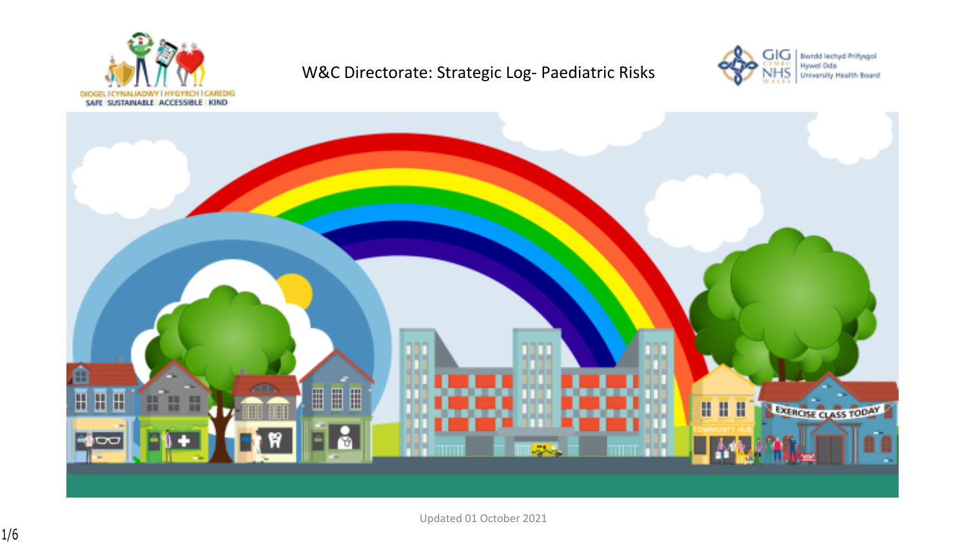

## W&C Directorate: Strategic Log- Paediatric Risks





Updated 01 October 2021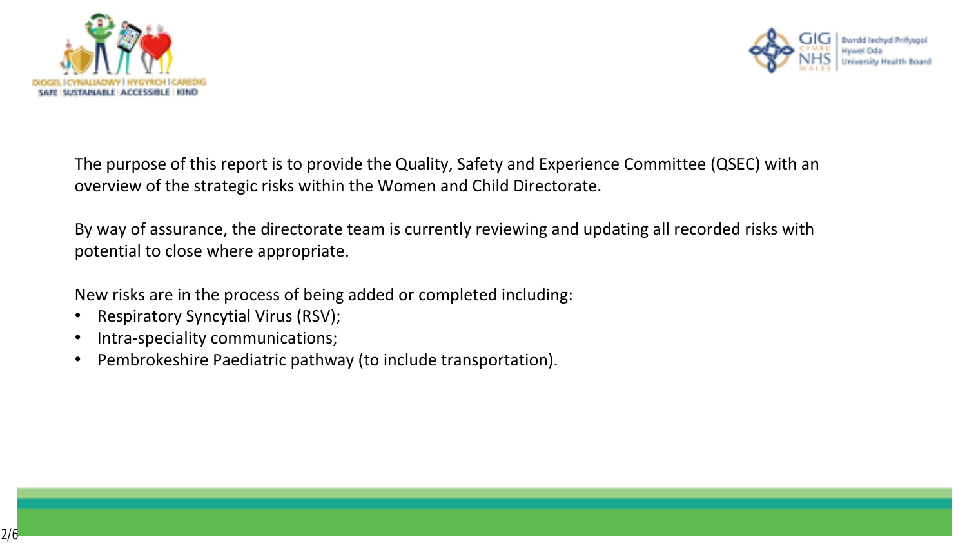



The purpose of this report is to provide the Quality, Safety and Experience Committee (QSEC) with an overview of the strategic risks within the Women and Child Directorate.

By way of assurance, the directorate team is currently reviewing and updating all recorded risks with potential to close where appropriate.

New risks are in the process of being added or completed including:

- Respiratory Syncytial Virus (RSV);
- Intra-speciality communications;
- Pembrokeshire Paediatric pathway (to include transportation).

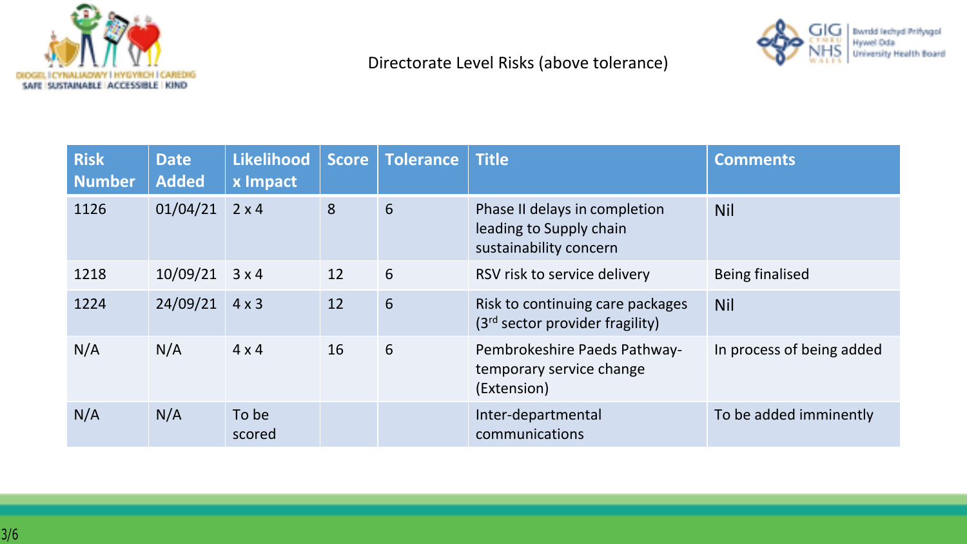



## Directorate Level Risks (above tolerance)

| <b>Risk</b><br><b>Number</b> | <b>Date</b><br><b>Added</b> | Likelihood<br>x Impact | <b>Score</b> | <b>Tolerance</b> | <b>Title</b>                                                                       | <b>Comments</b>           |
|------------------------------|-----------------------------|------------------------|--------------|------------------|------------------------------------------------------------------------------------|---------------------------|
| 1126                         | 01/04/21                    | $2 \times 4$           | 8            | 6                | Phase II delays in completion<br>leading to Supply chain<br>sustainability concern | <b>Nil</b>                |
| 1218                         | 10/09/21                    | 3x4                    | 12           | 6                | RSV risk to service delivery                                                       | <b>Being finalised</b>    |
| 1224                         | 24/09/21                    | $4 \times 3$           | 12           | 6                | Risk to continuing care packages<br>(3 <sup>rd</sup> sector provider fragility)    | <b>Nil</b>                |
| N/A                          | N/A                         | $4 \times 4$           | 16           | 6                | Pembrokeshire Paeds Pathway-<br>temporary service change<br>(Extension)            | In process of being added |
| N/A                          | N/A                         | To be<br>scored        |              |                  | Inter-departmental<br>communications                                               | To be added imminently    |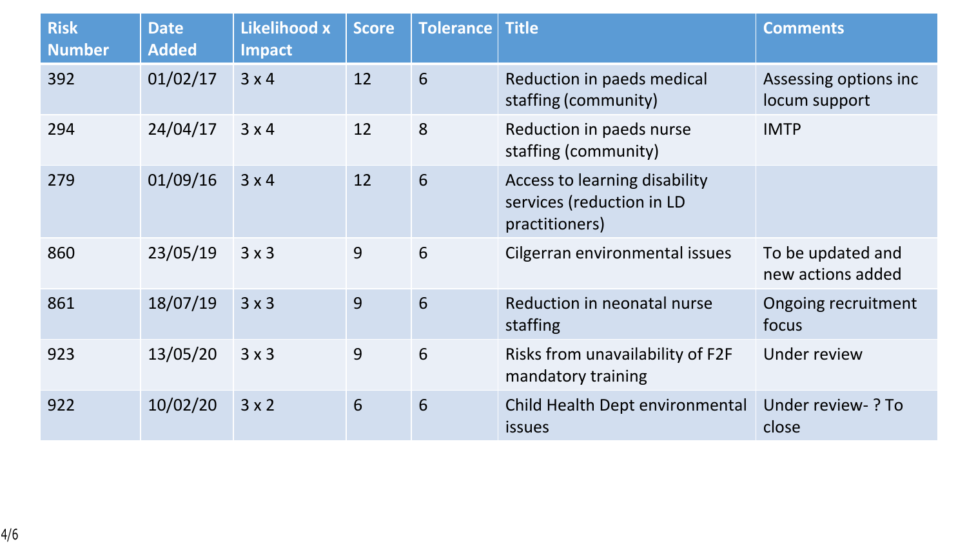| <b>Risk</b><br><b>Number</b> | <b>Date</b><br><b>Added</b> | Likelihood x<br><b>Impact</b> | <b>Score</b> | <b>Tolerance</b> | <b>Title</b>                                                                 | <b>Comments</b>                        |
|------------------------------|-----------------------------|-------------------------------|--------------|------------------|------------------------------------------------------------------------------|----------------------------------------|
| 392                          | 01/02/17                    | 3x4                           | 12           | 6                | Reduction in paeds medical<br>staffing (community)                           | Assessing options inc<br>locum support |
| 294                          | 24/04/17                    | 3x4                           | 12           | 8                | Reduction in paeds nurse<br>staffing (community)                             | <b>IMTP</b>                            |
| 279                          | 01/09/16                    | 3x4                           | 12           | 6                | Access to learning disability<br>services (reduction in LD<br>practitioners) |                                        |
| 860                          | 23/05/19                    | 3x3                           | 9            | 6                | Cilgerran environmental issues                                               | To be updated and<br>new actions added |
| 861                          | 18/07/19                    | 3x3                           | 9            | 6                | Reduction in neonatal nurse<br>staffing                                      | Ongoing recruitment<br>focus           |
| 923                          | 13/05/20                    | 3x3                           | 9            | 6                | Risks from unavailability of F2F<br>mandatory training                       | Under review                           |
| 922                          | 10/02/20                    | $3 \times 2$                  | 6            | 6                | Child Health Dept environmental<br><b>issues</b>                             | Under review-? To<br>close             |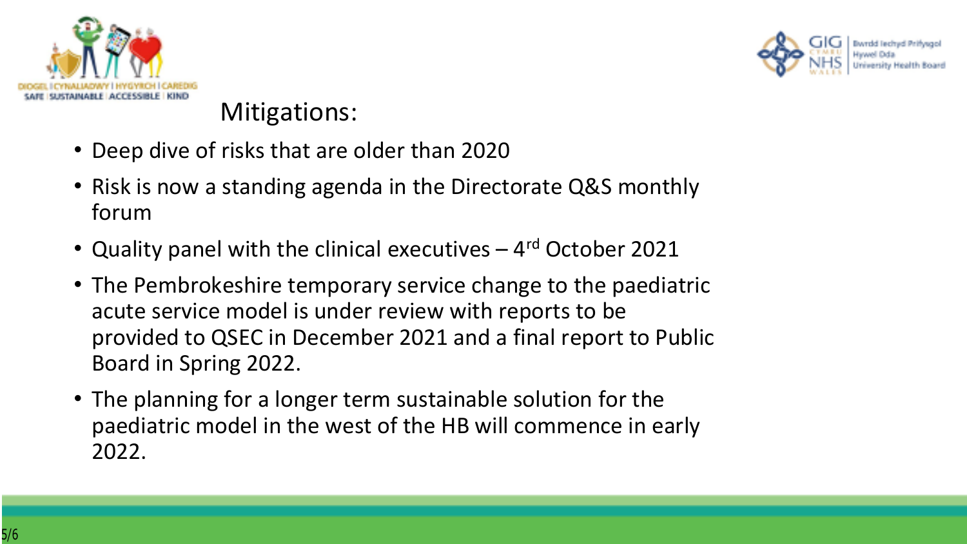



## Mitigations:

- Deep dive of risks that are older than 2020
- Risk is now a standing agenda in the Directorate Q&S monthly forum
- Quality panel with the clinical executives 4rd October 2021
- The Pembrokeshire temporary service change to the paediatric acute service model is under review with reports to be provided to QSEC in December 2021 and a final report to Public Board in Spring 2022.
- The planning for a longer term sustainable solution for the paediatric model in the west of the HB will commence in early 2022.